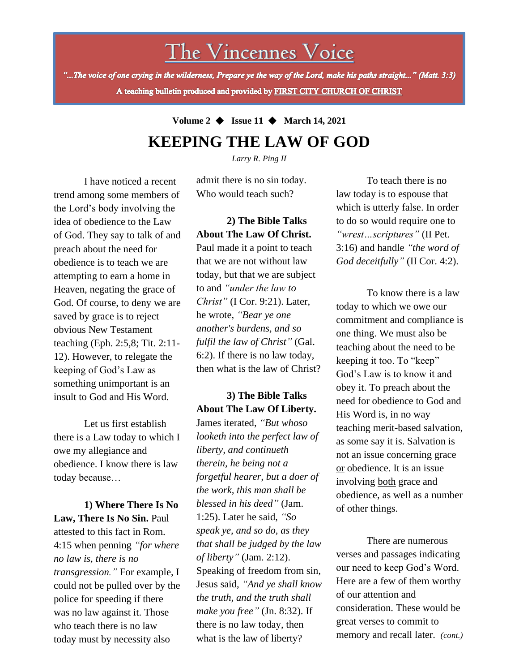# The Vincennes Voice

"...The voice of one crying in the wilderness, Prepare ye the way of the Lord, make his paths straight..." (Matt. 3:3) A teaching bulletin produced and provided by FIRST CITY CHURCH OF CHRIST

# **Volume 2** ◆ **Issue 11** ◆ **March 14, 2021 KEEPING THE LAW OF GOD**

*Larry R. Ping II*

I have noticed a recent trend among some members of the Lord's body involving the idea of obedience to the Law of God. They say to talk of and preach about the need for obedience is to teach we are attempting to earn a home in Heaven, negating the grace of God. Of course, to deny we are saved by grace is to reject obvious New Testament teaching (Eph. 2:5,8; Tit. 2:11- 12). However, to relegate the keeping of God's Law as something unimportant is an insult to God and His Word.

Let us first establish there is a Law today to which I owe my allegiance and obedience. I know there is law today because…

could not be pulled over by the **1) Where There Is No Law, There Is No Sin.** Paul attested to this fact in Rom. 4:15 when penning *"for where no law is, there is no transgression."* For example, I police for speeding if there was no law against it. Those who teach there is no law today must by necessity also

admit there is no sin today. Who would teach such?

## **2) The Bible Talks About The Law Of Christ.**

Paul made it a point to teach that we are not without law today, but that we are subject to and *"under the law to Christ"* (I Cor. 9:21). Later, he wrote, *"Bear ye one another's burdens, and so fulfil the law of Christ"* (Gal. 6:2). If there is no law today, then what is the law of Christ?

# **3) The Bible Talks About The Law Of Liberty.**

James iterated, *"But whoso looketh into the perfect law of liberty, and continueth therein, he being not a forgetful hearer, but a doer of the work, this man shall be blessed in his deed"* (Jam. 1:25). Later he said, *"So speak ye, and so do, as they that shall be judged by the law of liberty"* (Jam. 2:12). Speaking of freedom from sin, Jesus said, *"And ye shall know the truth, and the truth shall make you free"* (Jn. 8:32). If there is no law today, then what is the law of liberty?

To teach there is no law today is to espouse that which is utterly false. In order to do so would require one to *"wrest…scriptures"* (II Pet. 3:16) and handle *"the word of God deceitfully"* (II Cor. 4:2).

To know there is a law today to which we owe our commitment and compliance is one thing. We must also be teaching about the need to be keeping it too. To "keep" God's Law is to know it and obey it. To preach about the need for obedience to God and His Word is, in no way teaching merit-based salvation, as some say it is. Salvation is not an issue concerning grace or obedience. It is an issue involving both grace and obedience, as well as a number of other things.

There are numerous verses and passages indicating our need to keep God's Word. Here are a few of them worthy of our attention and consideration. These would be great verses to commit to memory and recall later. *(cont.)*